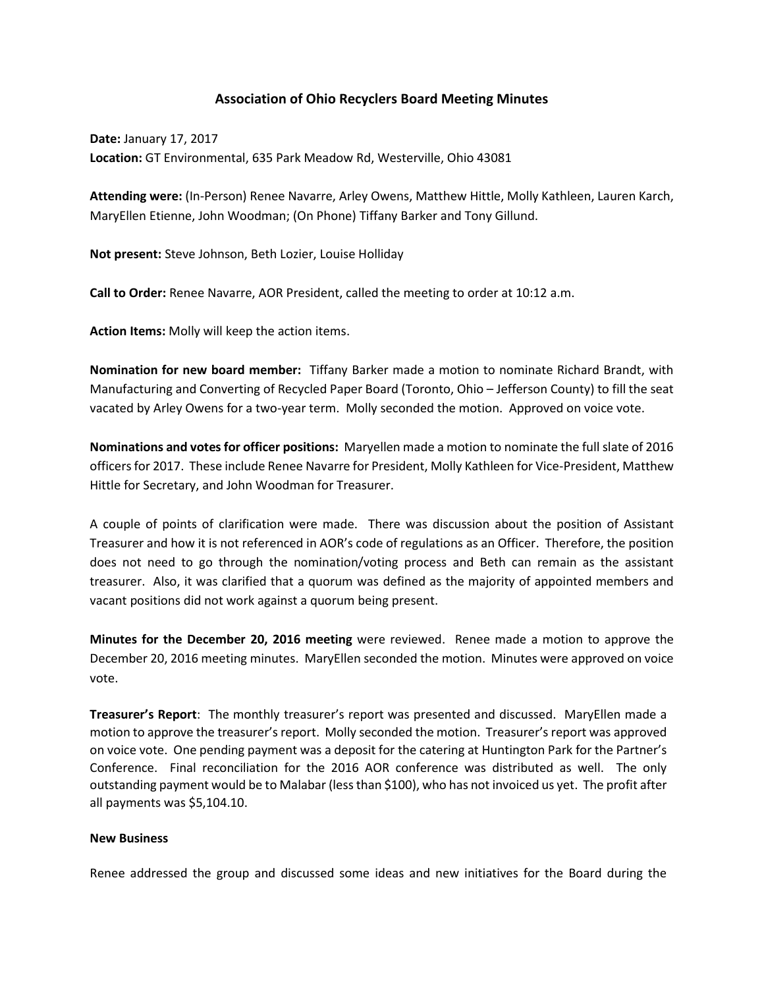## **Association of Ohio Recyclers Board Meeting Minutes**

**Date:** January 17, 2017 **Location:** GT Environmental, 635 Park Meadow Rd, Westerville, Ohio 43081

**Attending were:** (In-Person) Renee Navarre, Arley Owens, Matthew Hittle, Molly Kathleen, Lauren Karch, MaryEllen Etienne, John Woodman; (On Phone) Tiffany Barker and Tony Gillund.

**Not present:** Steve Johnson, Beth Lozier, Louise Holliday

**Call to Order:** Renee Navarre, AOR President, called the meeting to order at 10:12 a.m.

**Action Items:** Molly will keep the action items.

**Nomination for new board member:** Tiffany Barker made a motion to nominate Richard Brandt, with Manufacturing and Converting of Recycled Paper Board (Toronto, Ohio – Jefferson County) to fill the seat vacated by Arley Owens for a two-year term. Molly seconded the motion. Approved on voice vote.

**Nominations and votes for officer positions:** Maryellen made a motion to nominate the full slate of 2016 officers for 2017. These include Renee Navarre for President, Molly Kathleen for Vice-President, Matthew Hittle for Secretary, and John Woodman for Treasurer.

A couple of points of clarification were made. There was discussion about the position of Assistant Treasurer and how it is not referenced in AOR's code of regulations as an Officer. Therefore, the position does not need to go through the nomination/voting process and Beth can remain as the assistant treasurer. Also, it was clarified that a quorum was defined as the majority of appointed members and vacant positions did not work against a quorum being present.

**Minutes for the December 20, 2016 meeting** were reviewed. Renee made a motion to approve the December 20, 2016 meeting minutes. MaryEllen seconded the motion. Minutes were approved on voice vote.

**Treasurer's Report**: The monthly treasurer's report was presented and discussed. MaryEllen made a motion to approve the treasurer's report. Molly seconded the motion. Treasurer's report was approved on voice vote. One pending payment was a deposit for the catering at Huntington Park for the Partner's Conference. Final reconciliation for the 2016 AOR conference was distributed as well. The only outstanding payment would be to Malabar (less than \$100), who has not invoiced us yet. The profit after all payments was \$5,104.10.

## **New Business**

Renee addressed the group and discussed some ideas and new initiatives for the Board during the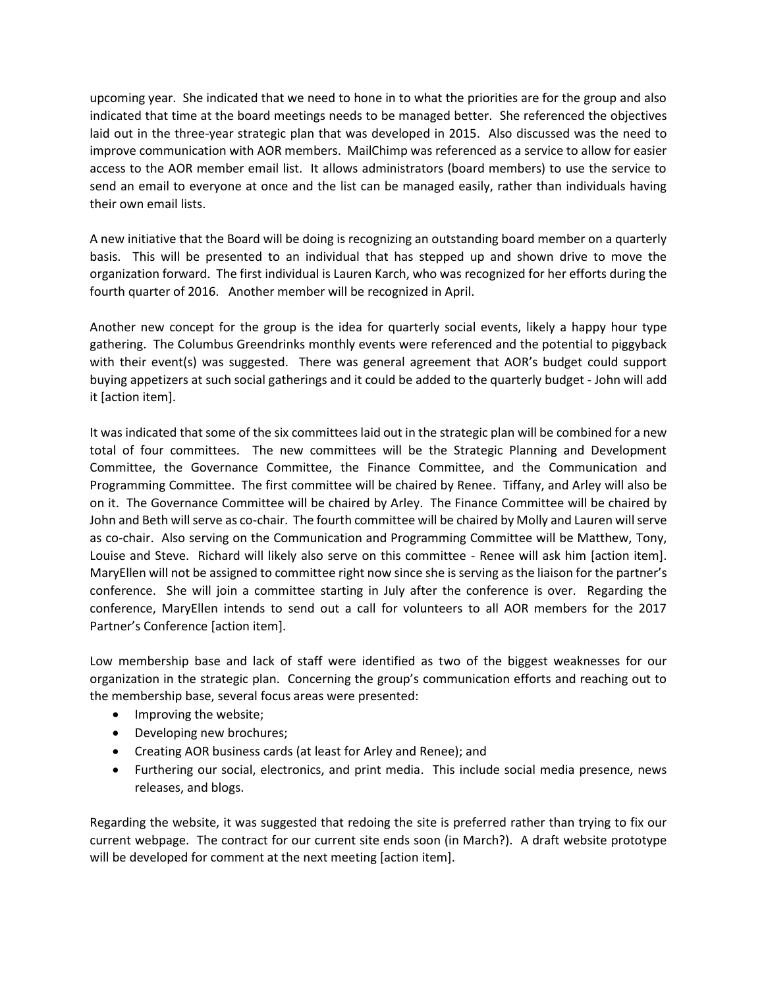upcoming year. She indicated that we need to hone in to what the priorities are for the group and also indicated that time at the board meetings needs to be managed better. She referenced the objectives laid out in the three-year strategic plan that was developed in 2015. Also discussed was the need to improve communication with AOR members. MailChimp was referenced as a service to allow for easier access to the AOR member email list. It allows administrators (board members) to use the service to send an email to everyone at once and the list can be managed easily, rather than individuals having their own email lists.

A new initiative that the Board will be doing is recognizing an outstanding board member on a quarterly basis. This will be presented to an individual that has stepped up and shown drive to move the organization forward. The first individual is Lauren Karch, who was recognized for her efforts during the fourth quarter of 2016. Another member will be recognized in April.

Another new concept for the group is the idea for quarterly social events, likely a happy hour type gathering. The Columbus Greendrinks monthly events were referenced and the potential to piggyback with their event(s) was suggested. There was general agreement that AOR's budget could support buying appetizers at such social gatherings and it could be added to the quarterly budget - John will add it [action item].

It was indicated that some of the six committees laid out in the strategic plan will be combined for a new total of four committees. The new committees will be the Strategic Planning and Development Committee, the Governance Committee, the Finance Committee, and the Communication and Programming Committee. The first committee will be chaired by Renee. Tiffany, and Arley will also be on it. The Governance Committee will be chaired by Arley. The Finance Committee will be chaired by John and Beth will serve as co-chair. The fourth committee will be chaired by Molly and Lauren will serve as co-chair. Also serving on the Communication and Programming Committee will be Matthew, Tony, Louise and Steve. Richard will likely also serve on this committee - Renee will ask him [action item]. MaryEllen will not be assigned to committee right now since she is serving as the liaison for the partner's conference. She will join a committee starting in July after the conference is over. Regarding the conference, MaryEllen intends to send out a call for volunteers to all AOR members for the 2017 Partner's Conference [action item].

Low membership base and lack of staff were identified as two of the biggest weaknesses for our organization in the strategic plan. Concerning the group's communication efforts and reaching out to the membership base, several focus areas were presented:

- Improving the website;
- Developing new brochures;
- Creating AOR business cards (at least for Arley and Renee); and
- Furthering our social, electronics, and print media. This include social media presence, news releases, and blogs.

Regarding the website, it was suggested that redoing the site is preferred rather than trying to fix our current webpage. The contract for our current site ends soon (in March?). A draft website prototype will be developed for comment at the next meeting [action item].